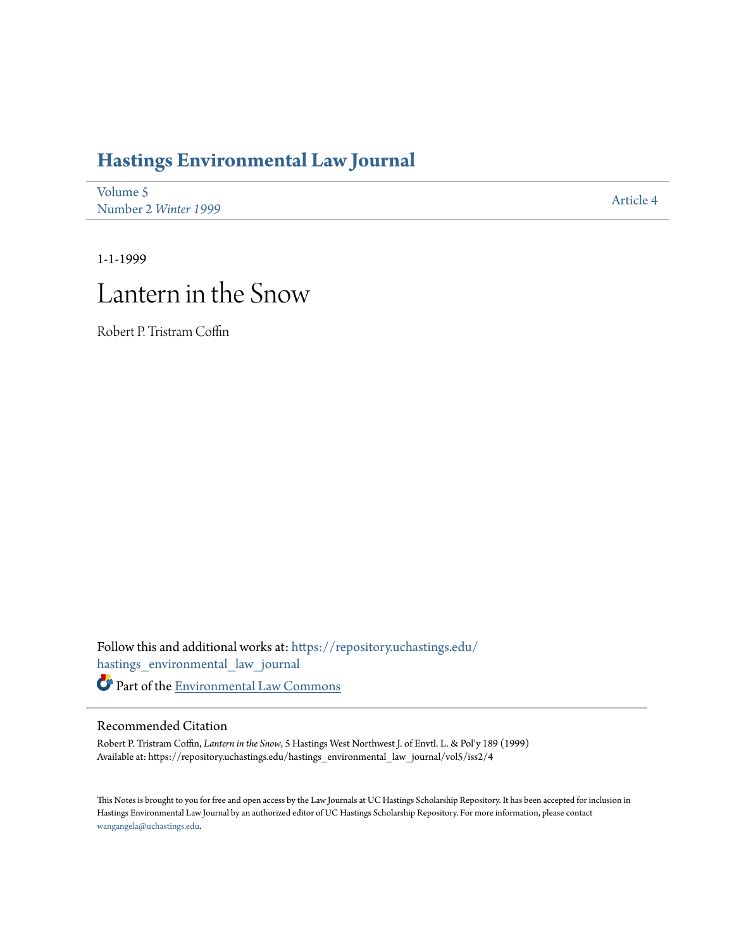## **[Hastings Environmental Law Journal](https://repository.uchastings.edu/hastings_environmental_law_journal?utm_source=repository.uchastings.edu%2Fhastings_environmental_law_journal%2Fvol5%2Fiss2%2F4&utm_medium=PDF&utm_campaign=PDFCoverPages)**

| Volume 5             | Article 4 |
|----------------------|-----------|
| Number 2 Winter 1999 |           |

1-1-1999

## Lantern in the Snow

Robert P. Tristram Coffin

Follow this and additional works at: [https://repository.uchastings.edu/](https://repository.uchastings.edu/hastings_environmental_law_journal?utm_source=repository.uchastings.edu%2Fhastings_environmental_law_journal%2Fvol5%2Fiss2%2F4&utm_medium=PDF&utm_campaign=PDFCoverPages) [hastings\\_environmental\\_law\\_journal](https://repository.uchastings.edu/hastings_environmental_law_journal?utm_source=repository.uchastings.edu%2Fhastings_environmental_law_journal%2Fvol5%2Fiss2%2F4&utm_medium=PDF&utm_campaign=PDFCoverPages) Part of the [Environmental Law Commons](http://network.bepress.com/hgg/discipline/599?utm_source=repository.uchastings.edu%2Fhastings_environmental_law_journal%2Fvol5%2Fiss2%2F4&utm_medium=PDF&utm_campaign=PDFCoverPages)

## Recommended Citation

Robert P. Tristram Coffin, *Lantern in the Snow*, 5 Hastings West Northwest J. of Envtl. L. & Pol'y 189 (1999) Available at: https://repository.uchastings.edu/hastings\_environmental\_law\_journal/vol5/iss2/4

This Notes is brought to you for free and open access by the Law Journals at UC Hastings Scholarship Repository. It has been accepted for inclusion in Hastings Environmental Law Journal by an authorized editor of UC Hastings Scholarship Repository. For more information, please contact [wangangela@uchastings.edu](mailto:wangangela@uchastings.edu).